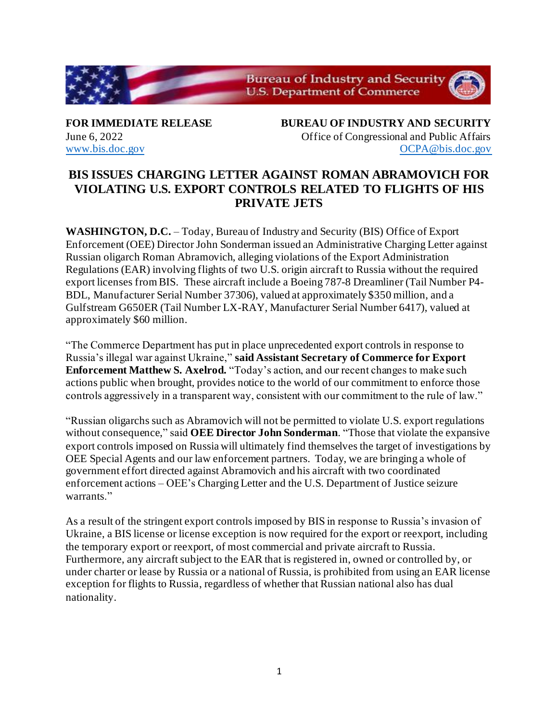

**FOR IMMEDIATE RELEASE BUREAU OF INDUSTRY AND SECURITY** June 6, 2022 Office of Congressional and Public Affairs [www.bis.doc.gov](http://www.bis.doc.gov/) [OCPA@bis.doc.gov](mailto:OCPA@bis.doc.gov)

## **BIS ISSUES CHARGING LETTER AGAINST ROMAN ABRAMOVICH FOR VIOLATING U.S. EXPORT CONTROLS RELATED TO FLIGHTS OF HIS PRIVATE JETS**

**WASHINGTON, D.C.** – Today, Bureau of Industry and Security (BIS) Office of Export Enforcement (OEE) Director John Sonderman issued an Administrative Charging Letter against Russian oligarch Roman Abramovich, alleging violations of the Export Administration Regulations (EAR) involving flights of two U.S. origin aircraft to Russia without the required export licenses from BIS. These aircraft include a Boeing 787-8 Dreamliner (Tail Number P4- BDL, Manufacturer Serial Number 37306), valued at approximately \$350 million, and a Gulfstream G650ER (Tail Number LX-RAY, Manufacturer Serial Number 6417), valued at approximately \$60 million.

"The Commerce Department has put in place unprecedented export controls in response to Russia's illegal war against Ukraine," **said Assistant Secretary of Commerce for Export Enforcement Matthew S. Axelrod.** "Today's action, and our recent changes to make such actions public when brought, provides notice to the world of our commitment to enforce those controls aggressively in a transparent way, consistent with our commitment to the rule of law."

"Russian oligarchs such as Abramovich will not be permitted to violate U.S. export regulations without consequence," said **OEE Director John Sonderman**. "Those that violate the expansive export controls imposed on Russia will ultimately find themselves the target of investigations by OEE Special Agents and our law enforcement partners. Today, we are bringing a whole of government effort directed against Abramovich and his aircraft with two coordinated enforcement actions – OEE's Charging Letter and the U.S. Department of Justice seizure warrants."

As a result of the stringent export controls imposed by BIS in response to Russia's invasion of Ukraine, a BIS license or license exception is now required for the export or reexport, including the temporary export or reexport, of most commercial and private aircraft to Russia. Furthermore, any aircraft subject to the EAR that is registered in, owned or controlled by, or under charter or lease by Russia or a national of Russia, is prohibited from using an EAR license exception for flights to Russia, regardless of whether that Russian national also has dual nationality.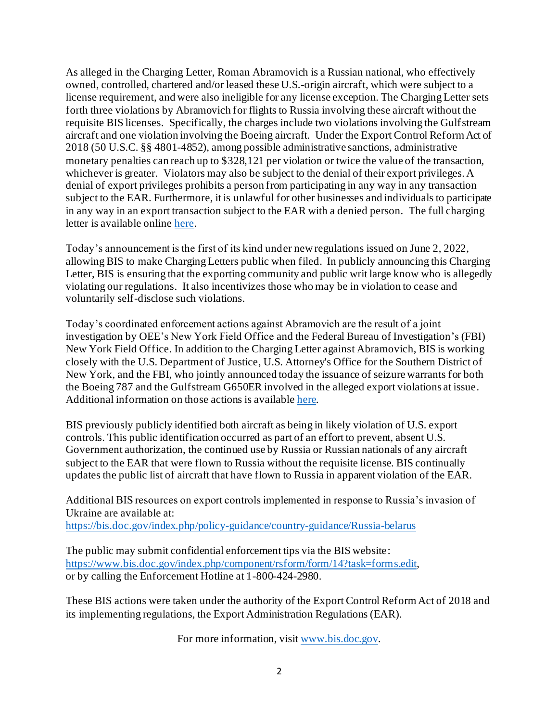As alleged in the Charging Letter, Roman Abramovich is a Russian national, who effectively owned, controlled, chartered and/or leased these U.S.-origin aircraft, which were subject to a license requirement, and were also ineligible for any license exception. The Charging Letter sets forth three violations by Abramovich for flights to Russia involving these aircraft without the requisite BIS licenses. Specifically, the charges include two violations involving the Gulfstream aircraft and one violation involving the Boeing aircraft. Under the Export Control Reform Act of 2018 (50 U.S.C. §§ 4801-4852), among possible administrative sanctions, administrative monetary penalties can reach up to \$328,121 per violation or twice the value of the transaction, whichever is greater. Violators may also be subject to the denial of their export privileges. A denial of export privileges prohibits a person from participating in any way in any transaction subject to the EAR. Furthermore, it is unlawful for other businesses and individuals to participate in any way in an export transaction subject to the EAR with a denied person. The full charging letter is available onlin[e here](https://efoia.bis.doc.gov/index.php/electronic-foia/index-of-documents/7-electronic-foia/230-charging-letters).

Today's announcement is the first of its kind under new regulations issued on June 2, 2022, allowing BIS to make Charging Letters public when filed. In publicly announcing this Charging Letter, BIS is ensuring that the exporting community and public writ large know who is allegedly violating our regulations. It also incentivizes those who may be in violation to cease and voluntarily self-disclose such violations.

Today's coordinated enforcement actions against Abramovich are the result of a joint investigation by OEE's New York Field Office and the Federal Bureau of Investigation's (FBI) New York Field Office. In addition to the Charging Letter against Abramovich, BIS is working closely with the U.S. Department of Justice, U.S. Attorney's Office for the Southern District of New York, and the FBI, who jointly announced today the issuance of seizure warrants for both the Boeing 787 and the Gulfstream G650ER involved in the alleged export violations at issue. Additional information on those actions is availabl[e here.](https://go.usa.gov/xJKca)

BIS previously publicly identified both aircraft as being in likely violation of U.S. export controls. This public identification occurred as part of an effort to prevent, absent U.S. Government authorization, the continued use by Russia or Russian nationals of any aircraft subject to the EAR that were flown to Russia without the requisite license. BIS continually updates the public list of aircraft that have flown to Russia in apparent violation of the EAR.

Additional BIS resources on export controls implemented in response to Russia's invasion of Ukraine are available at: <https://bis.doc.gov/index.php/policy-guidance/country-guidance/Russia-belarus>

The public may submit confidential enforcement tips via the BIS website: <https://www.bis.doc.gov/index.php/component/rsform/form/14?task=forms.edit>, or by calling the Enforcement Hotline at 1-800-424-2980.

These BIS actions were taken under the authority of the Export Control Reform Act of 2018 and its implementing regulations, the Export Administration Regulations (EAR).

For more information, visi[t www.bis.doc.gov.](http://www.bis.doc.gov/)